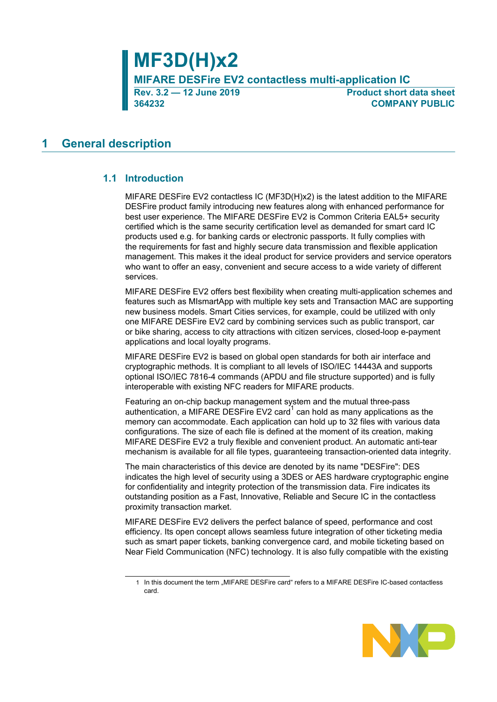**364232 COMPANY PUBLIC**

**Product short data sheet** 

# <span id="page-0-0"></span>**1 General description**

## <span id="page-0-1"></span>**1.1 Introduction**

MIFARE DESFire EV2 contactless IC (MF3D(H)x2) is the latest addition to the MIFARE DESFire product family introducing new features along with enhanced performance for best user experience. The MIFARE DESFire EV2 is Common Criteria EAL5+ security certified which is the same security certification level as demanded for smart card IC products used e.g. for banking cards or electronic passports. It fully complies with the requirements for fast and highly secure data transmission and flexible application management. This makes it the ideal product for service providers and service operators who want to offer an easy, convenient and secure access to a wide variety of different services.

MIFARE DESFire EV2 offers best flexibility when creating multi-application schemes and features such as MIsmartApp with multiple key sets and Transaction MAC are supporting new business models. Smart Cities services, for example, could be utilized with only one MIFARE DESFire EV2 card by combining services such as public transport, car or bike sharing, access to city attractions with citizen services, closed-loop e-payment applications and local loyalty programs.

MIFARE DESFire EV2 is based on global open standards for both air interface and cryptographic methods. It is compliant to all levels of ISO/IEC 14443A and supports optional ISO/IEC 7816-4 commands (APDU and file structure supported) and is fully interoperable with existing NFC readers for MIFARE products.

Featuring an on-chip backup management system and the mutual three-pass authentication, a MIFARE DESFire EV2 card<sup>1</sup> can hold as many applications as the memory can accommodate. Each application can hold up to 32 files with various data configurations. The size of each file is defined at the moment of its creation, making MIFARE DESFire EV2 a truly flexible and convenient product. An automatic anti-tear mechanism is available for all file types, guaranteeing transaction-oriented data integrity.

The main characteristics of this device are denoted by its name "DESFire": DES indicates the high level of security using a 3DES or AES hardware cryptographic engine for confidentiality and integrity protection of the transmission data. Fire indicates its outstanding position as a Fast, Innovative, Reliable and Secure IC in the contactless proximity transaction market.

MIFARE DESFire EV2 delivers the perfect balance of speed, performance and cost efficiency. Its open concept allows seamless future integration of other ticketing media such as smart paper tickets, banking convergence card, and mobile ticketing based on Near Field Communication (NFC) technology. It is also fully compatible with the existing

<sup>1</sup> In this document the term "MIFARE DESFire card" refers to a MIFARE DESFire IC-based contactless card.

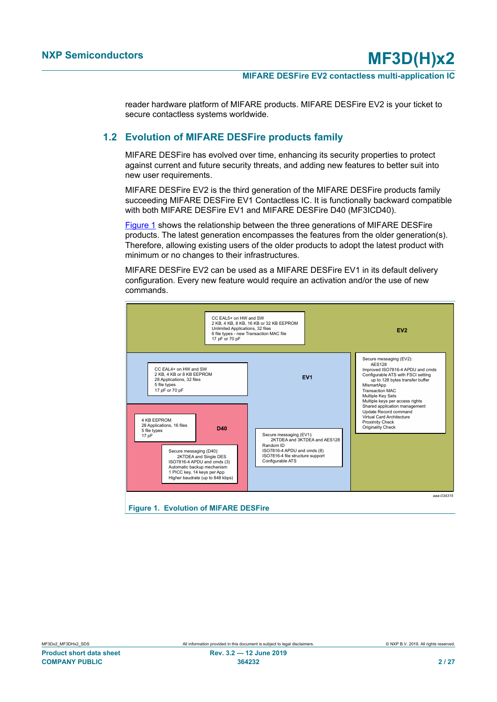reader hardware platform of MIFARE products. MIFARE DESFire EV2 is your ticket to secure contactless systems worldwide.

## **1.2 Evolution of MIFARE DESFire products family**

<span id="page-1-1"></span>MIFARE DESFire has evolved over time, enhancing its security properties to protect against current and future security threats, and adding new features to better suit into new user requirements.

MIFARE DESFire EV2 is the third generation of the MIFARE DESFire products family succeeding MIFARE DESFire EV1 Contactless IC. It is functionally backward compatible with both MIFARE DESFire EV1 and MIFARE DESFire D40 (MF3ICD40).

[Figure 1](#page-1-0) shows the relationship between the three generations of MIFARE DESFire products. The latest generation encompasses the features from the older generation(s). Therefore, allowing existing users of the older products to adopt the latest product with minimum or no changes to their infrastructures.

MIFARE DESFire EV2 can be used as a MIFARE DESFire EV1 in its default delivery configuration. Every new feature would require an activation and/or the use of new commands.

<span id="page-1-0"></span>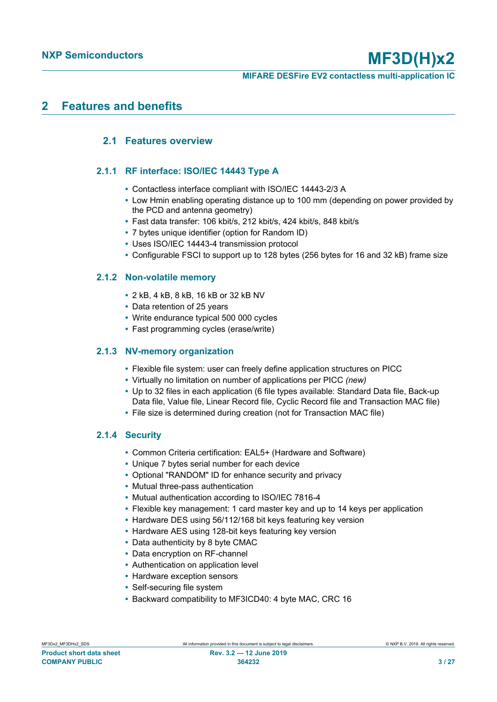# <span id="page-2-0"></span>**2 Features and benefits**

# <span id="page-2-1"></span>**2.1 Features overview**

## **2.1.1 RF interface: ISO/IEC 14443 Type A**

- <span id="page-2-2"></span>**•** Contactless interface compliant with ISO/IEC 14443-2/3 A
- **•** Low Hmin enabling operating distance up to 100 mm (depending on power provided by the PCD and antenna geometry)
- **•** Fast data transfer: 106 kbit/s, 212 kbit/s, 424 kbit/s, 848 kbit/s
- **•** 7 bytes unique identifier (option for Random ID)
- **•** Uses ISO/IEC 14443-4 transmission protocol
- <span id="page-2-3"></span>**•** Configurable FSCI to support up to 128 bytes (256 bytes for 16 and 32 kB) frame size

### **2.1.2 Non-volatile memory**

- **•** 2 kB, 4 kB, 8 kB, 16 kB or 32 kB NV
- **•** Data retention of 25 years
- **•** Write endurance typical 500 000 cycles
- <span id="page-2-4"></span>**•** Fast programming cycles (erase/write)

### **2.1.3 NV-memory organization**

- **•** Flexible file system: user can freely define application structures on PICC
- **•** Virtually no limitation on number of applications per PICC *(new)*
- **•** Up to 32 files in each application (6 file types available: Standard Data file, Back-up Data file, Value file, Linear Record file, Cyclic Record file and Transaction MAC file)
- <span id="page-2-5"></span>**•** File size is determined during creation (not for Transaction MAC file)

## **2.1.4 Security**

- **•** Common Criteria certification: EAL5+ (Hardware and Software)
- **•** Unique 7 bytes serial number for each device
- **•** Optional "RANDOM" ID for enhance security and privacy
- **•** Mutual three-pass authentication
- **•** Mutual authentication according to ISO/IEC 7816-4
- **•** Flexible key management: 1 card master key and up to 14 keys per application
- **•** Hardware DES using 56/112/168 bit keys featuring key version
- **•** Hardware AES using 128-bit keys featuring key version
- **•** Data authenticity by 8 byte CMAC
- **•** Data encryption on RF-channel
- **•** Authentication on application level
- **•** Hardware exception sensors
- **•** Self-securing file system
- **•** Backward compatibility to MF3ICD40: 4 byte MAC, CRC 16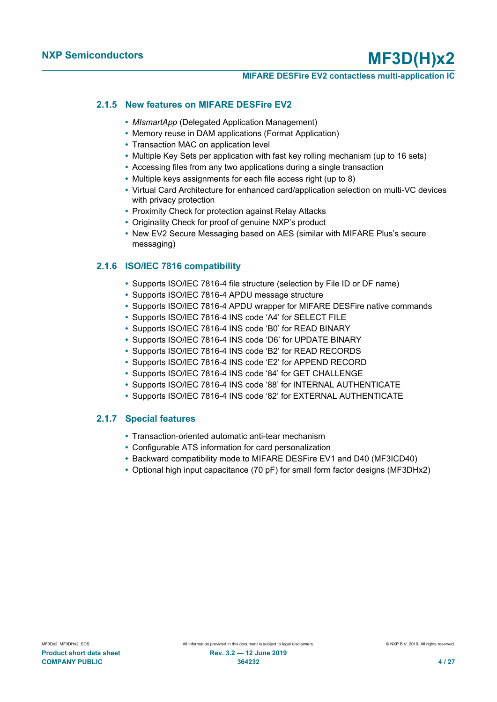#### **MIFARE DESFire EV2 contactless multi-application IC**

#### **2.1.5 New features on MIFARE DESFire EV2**

- <span id="page-3-0"></span>**•** *MIsmartApp* (Delegated Application Management)
- **•** Memory reuse in DAM applications (Format Application)
- **•** Transaction MAC on application level
- **•** Multiple Key Sets per application with fast key rolling mechanism (up to 16 sets)
- **•** Accessing files from any two applications during a single transaction
- **•** Multiple keys assignments for each file access right (up to 8)
- **•** Virtual Card Architecture for enhanced card/application selection on multi-VC devices with privacy protection
- **•** Proximity Check for protection against Relay Attacks
- **•** Originality Check for proof of genuine NXP's product
- **•** New EV2 Secure Messaging based on AES (similar with MIFARE Plus's secure messaging)

### **2.1.6 ISO/IEC 7816 compatibility**

- <span id="page-3-1"></span>**•** Supports ISO/IEC 7816-4 file structure (selection by File ID or DF name)
- **•** Supports ISO/IEC 7816-4 APDU message structure
- **•** Supports ISO/IEC 7816-4 APDU wrapper for MIFARE DESFire native commands
- **•** Supports ISO/IEC 7816-4 INS code 'A4' for SELECT FILE
- **•** Supports ISO/IEC 7816-4 INS code 'B0' for READ BINARY
- **•** Supports ISO/IEC 7816-4 INS code 'D6' for UPDATE BINARY
- **•** Supports ISO/IEC 7816-4 INS code 'B2' for READ RECORDS
- **•** Supports ISO/IEC 7816-4 INS code 'E2' for APPEND RECORD
- **•** Supports ISO/IEC 7816-4 INS code '84' for GET CHALLENGE
- **•** Supports ISO/IEC 7816-4 INS code '88' for INTERNAL AUTHENTICATE
- <span id="page-3-2"></span>**•** Supports ISO/IEC 7816-4 INS code '82' for EXTERNAL AUTHENTICATE

### **2.1.7 Special features**

- **•** Transaction-oriented automatic anti-tear mechanism
- **•** Configurable ATS information for card personalization
- **•** Backward compatibility mode to MIFARE DESFire EV1 and D40 (MF3ICD40)
- **•** Optional high input capacitance (70 pF) for small form factor designs (MF3DHx2)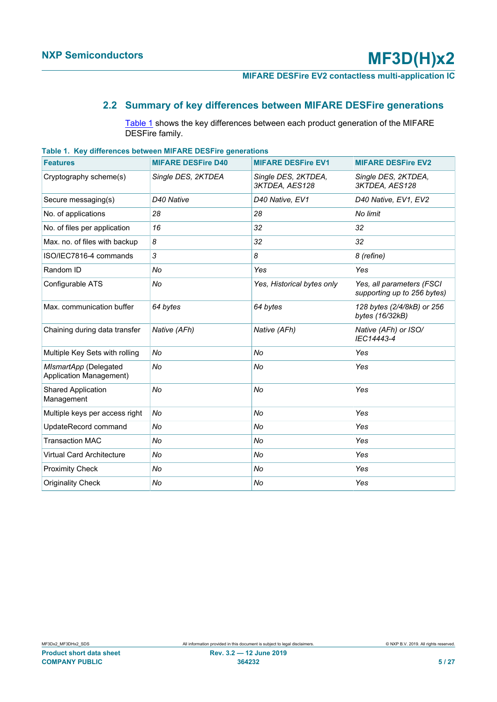# **2.2 Summary of key differences between MIFARE DESFire generations**

<span id="page-4-1"></span><span id="page-4-0"></span>[Table 1](#page-4-0) shows the key differences between each product generation of the MIFARE DESFire family.

| <u>rable to region ences between will like beging generations</u> |                           |                                       |                                                          |
|-------------------------------------------------------------------|---------------------------|---------------------------------------|----------------------------------------------------------|
| <b>Features</b>                                                   | <b>MIFARE DESFire D40</b> | <b>MIFARE DESFire EV1</b>             | <b>MIFARE DESFire EV2</b>                                |
| Cryptography scheme(s)                                            | Single DES, 2KTDEA        | Single DES, 2KTDEA,<br>3KTDEA, AES128 | Single DES, 2KTDEA,<br>3KTDEA, AES128                    |
| Secure messaging(s)                                               | D <sub>40</sub> Native    | D40 Native, EV1                       | D40 Native, EV1, EV2                                     |
| No. of applications                                               | 28                        | 28                                    | No limit                                                 |
| No. of files per application                                      | 16                        | 32                                    | 32                                                       |
| Max. no. of files with backup                                     | 8                         | 32                                    | 32                                                       |
| ISO/IEC7816-4 commands                                            | 3                         | 8                                     | 8 (refine)                                               |
| Random ID                                                         | No                        | Yes                                   | Yes                                                      |
| Configurable ATS                                                  | No                        | Yes, Historical bytes only            | Yes, all parameters (FSCI<br>supporting up to 256 bytes) |
| Max. communication buffer                                         | 64 bytes                  | 64 bytes                              | 128 bytes (2/4/8kB) or 256<br>bytes (16/32kB)            |
| Chaining during data transfer                                     | Native (AFh)              | Native (AFh)                          | Native (AFh) or ISO/<br>IEC14443-4                       |
| Multiple Key Sets with rolling                                    | No                        | No                                    | Yes                                                      |
| MIsmartApp (Delegated<br>Application Management)                  | No                        | No                                    | Yes                                                      |
| <b>Shared Application</b><br>Management                           | No                        | No                                    | Yes                                                      |
| Multiple keys per access right                                    | No                        | No                                    | Yes                                                      |
| UpdateRecord command                                              | No                        | No                                    | Yes                                                      |
| <b>Transaction MAC</b>                                            | No                        | No                                    | Yes                                                      |
| <b>Virtual Card Architecture</b>                                  | No                        | No                                    | Yes                                                      |
| <b>Proximity Check</b>                                            | No                        | No                                    | Yes                                                      |
| <b>Originality Check</b>                                          | No                        | No                                    | Yes                                                      |

**Table 1. Key differences between MIFARE DESFire generations**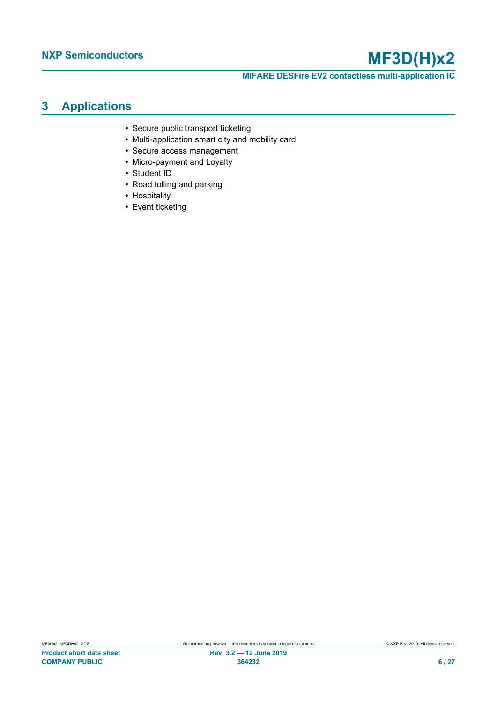**MIFARE DESFire EV2 contactless multi-application IC**

# <span id="page-5-0"></span>**3 Applications**

- **•** Secure public transport ticketing
- **•** Multi-application smart city and mobility card
- **•** Secure access management
- **•** Micro-payment and Loyalty
- **•** Student ID
- **•** Road tolling and parking
- **•** Hospitality
- **•** Event ticketing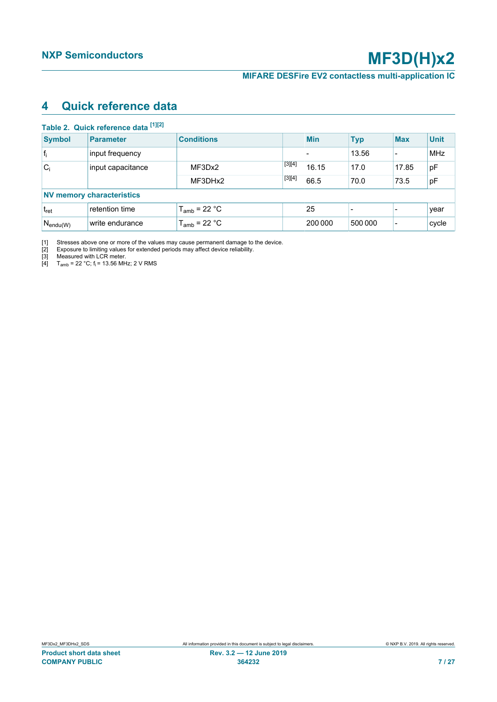# <span id="page-6-5"></span><span id="page-6-1"></span><span id="page-6-0"></span>**4 Quick reference data**

<span id="page-6-4"></span><span id="page-6-3"></span><span id="page-6-2"></span>

|                  | Table 2. Quick reference data [1][2] |                   |          |                          |            |                          |             |
|------------------|--------------------------------------|-------------------|----------|--------------------------|------------|--------------------------|-------------|
| <b>Symbol</b>    | <b>Parameter</b>                     | <b>Conditions</b> |          | <b>Min</b>               | <b>Typ</b> | <b>Max</b>               | <b>Unit</b> |
| $ f_i $          | input frequency                      |                   |          | $\overline{\phantom{0}}$ | 13.56      | $\overline{\phantom{0}}$ | <b>MHz</b>  |
| $C_i$            | input capacitance                    | MF3Dx2            | $[3][4]$ | 16.15                    | 17.0       | 17.85                    | рF          |
|                  |                                      | MF3DHx2           | $[3][4]$ | 66.5                     | 70.0       | 73.5                     | pF          |
|                  | <b>NV memory characteristics</b>     |                   |          |                          |            |                          |             |
| t <sub>ret</sub> | retention time                       | $T_{amb}$ = 22 °C |          | 25                       |            |                          | year        |
| $N_{endu(W)}$    | write endurance                      | $T_{amb}$ = 22 °C |          | 200 000                  | 500 000    | $\blacksquare$           | cycle       |

[1] Stresses above one or more of the values may cause permanent damage to the device.

[2] Exposure to limiting values for extended periods may affect device reliability.

[3] Measured with LCR meter.

[4]  $T_{amb}$  = 22 °C; f<sub>i</sub> = 13.56 MHz; 2 V RMS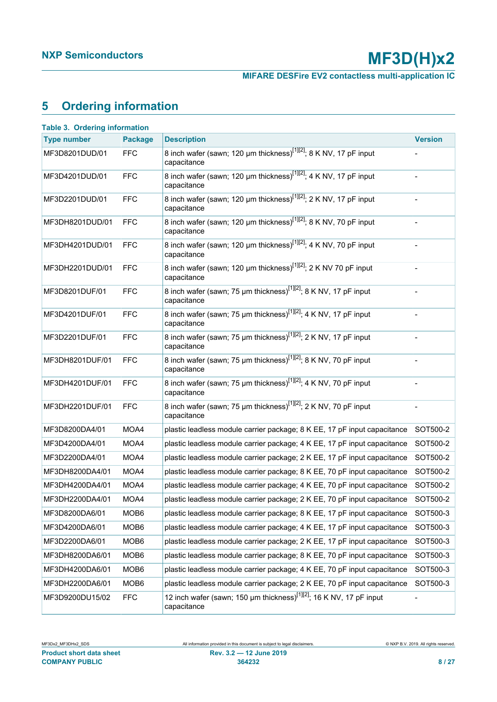**MIFARE DESFire EV2 contactless multi-application IC**

# <span id="page-7-1"></span>**5 Ordering information**

<span id="page-7-0"></span>

| <b>Type number</b> | <b>Package</b>   | <b>Description</b>                                                                             | <b>Version</b> |
|--------------------|------------------|------------------------------------------------------------------------------------------------|----------------|
| MF3D8201DUD/01     | <b>FFC</b>       | 8 inch wafer (sawn; 120 µm thickness) <sup>[1][2]</sup> ; 8 K NV, 17 pF input<br>capacitance   |                |
| MF3D4201DUD/01     | <b>FFC</b>       | 8 inch wafer (sawn; 120 µm thickness) <sup>[1][2]</sup> ; 4 K NV, 17 pF input<br>capacitance   |                |
| MF3D2201DUD/01     | <b>FFC</b>       | 8 inch wafer (sawn; 120 µm thickness) <sup>[1][2]</sup> ; 2 K NV, 17 pF input<br>capacitance   |                |
| MF3DH8201DUD/01    | <b>FFC</b>       | 8 inch wafer (sawn; 120 µm thickness) <sup>[1][2]</sup> ; 8 K NV, 70 pF input<br>capacitance   |                |
| MF3DH4201DUD/01    | <b>FFC</b>       | 8 inch wafer (sawn; 120 µm thickness) <sup>[1][2]</sup> ; 4 K NV, 70 pF input<br>capacitance   |                |
| MF3DH2201DUD/01    | <b>FFC</b>       | 8 inch wafer (sawn; 120 µm thickness) <sup>[1][2]</sup> ; 2 K NV 70 pF input<br>capacitance    |                |
| MF3D8201DUF/01     | <b>FFC</b>       | 8 inch wafer (sawn; 75 µm thickness) <sup>[1][2]</sup> ; 8 K NV, 17 pF input<br>capacitance    |                |
| MF3D4201DUF/01     | <b>FFC</b>       | 8 inch wafer (sawn; 75 µm thickness) <sup>[1][2]</sup> ; 4 K NV, 17 pF input<br>capacitance    |                |
| MF3D2201DUF/01     | <b>FFC</b>       | 8 inch wafer (sawn; 75 µm thickness) <sup>[1][2]</sup> ; 2 K NV, 17 pF input<br>capacitance    |                |
| MF3DH8201DUF/01    | <b>FFC</b>       | 8 inch wafer (sawn; 75 µm thickness) <sup>[1][2]</sup> ; 8 K NV, 70 pF input<br>capacitance    |                |
| MF3DH4201DUF/01    | <b>FFC</b>       | 8 inch wafer (sawn; 75 µm thickness) <sup>[1][2]</sup> ; 4 K NV, 70 pF input<br>capacitance    |                |
| MF3DH2201DUF/01    | <b>FFC</b>       | 8 inch wafer (sawn; 75 µm thickness) <sup>[1][2]</sup> ; 2 K NV, 70 pF input<br>capacitance    |                |
| MF3D8200DA4/01     | MOA4             | plastic leadless module carrier package; 8 K EE, 17 pF input capacitance                       | SOT500-2       |
| MF3D4200DA4/01     | MOA4             | plastic leadless module carrier package; 4 K EE, 17 pF input capacitance                       | SOT500-2       |
| MF3D2200DA4/01     | MOA4             | plastic leadless module carrier package; 2 K EE, 17 pF input capacitance                       | SOT500-2       |
| MF3DH8200DA4/01    | MOA4             | plastic leadless module carrier package; 8 K EE, 70 pF input capacitance                       | SOT500-2       |
| MF3DH4200DA4/01    | MOA4             | plastic leadless module carrier package; 4 K EE, 70 pF input capacitance                       | SOT500-2       |
| MF3DH2200DA4/01    | MOA4             | plastic leadless module carrier package; 2 K EE, 70 pF input capacitance                       | SOT500-2       |
| MF3D8200DA6/01     | MOB <sub>6</sub> | plastic leadless module carrier package; 8 K EE, 17 pF input capacitance                       | SOT500-3       |
| MF3D4200DA6/01     | MOB <sub>6</sub> | plastic leadless module carrier package; 4 K EE, 17 pF input capacitance                       | SOT500-3       |
| MF3D2200DA6/01     | MOB <sub>6</sub> | plastic leadless module carrier package; 2 K EE, 17 pF input capacitance                       | SOT500-3       |
| MF3DH8200DA6/01    | MOB <sub>6</sub> | plastic leadless module carrier package; 8 K EE, 70 pF input capacitance                       | SOT500-3       |
| MF3DH4200DA6/01    | MOB <sub>6</sub> | plastic leadless module carrier package; 4 K EE, 70 pF input capacitance                       | SOT500-3       |
| MF3DH2200DA6/01    | MOB <sub>6</sub> | plastic leadless module carrier package; 2 K EE, 70 pF input capacitance                       | SOT500-3       |
| MF3D9200DU15/02    | <b>FFC</b>       | 12 inch wafer (sawn; 150 µm thickness) <sup>[1][2]</sup> ; 16 K NV, 17 pF input<br>capacitance |                |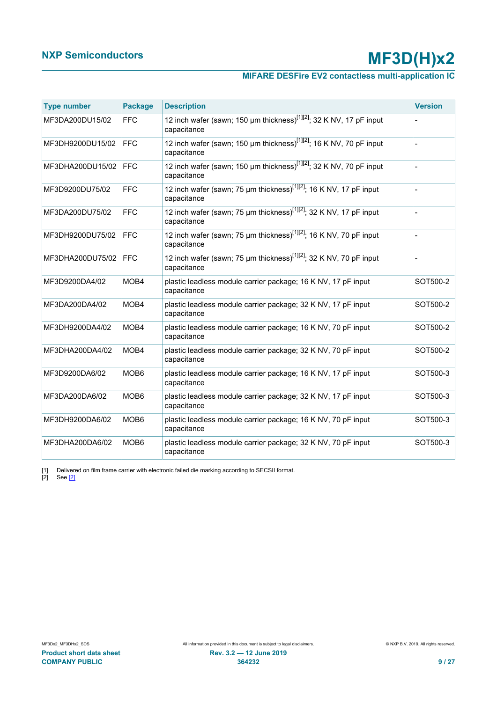# **MIFARE DESFire EV2 contactless multi-application IC**

<span id="page-8-1"></span><span id="page-8-0"></span>

| <b>Type number</b> | <b>Package</b>   | <b>Description</b>                                                                             | <b>Version</b> |
|--------------------|------------------|------------------------------------------------------------------------------------------------|----------------|
| MF3DA200DU15/02    | <b>FFC</b>       | 12 inch wafer (sawn; 150 µm thickness) <sup>[1][2]</sup> ; 32 K NV, 17 pF input<br>capacitance |                |
| MF3DH9200DU15/02   | <b>FFC</b>       | 12 inch wafer (sawn; 150 µm thickness) <sup>[1][2]</sup> ; 16 K NV, 70 pF input<br>capacitance |                |
| MF3DHA200DU15/02   | <b>FFC</b>       | 12 inch wafer (sawn; 150 µm thickness) <sup>[1][2]</sup> ; 32 K NV, 70 pF input<br>capacitance |                |
| MF3D9200DU75/02    | <b>FFC</b>       | 12 inch wafer (sawn; 75 µm thickness) <sup>[1][2]</sup> ; 16 K NV, 17 pF input<br>capacitance  |                |
| MF3DA200DU75/02    | <b>FFC</b>       | 12 inch wafer (sawn; 75 um thickness) <sup>[1][2]</sup> ; 32 K NV, 17 pF input<br>capacitance  |                |
| MF3DH9200DU75/02   | <b>FFC</b>       | 12 inch wafer (sawn; 75 µm thickness) <sup>[1][2]</sup> ; 16 K NV, 70 pF input<br>capacitance  |                |
| MF3DHA200DU75/02   | <b>FFC</b>       | 12 inch wafer (sawn; 75 µm thickness) <sup>[1][2]</sup> ; 32 K NV, 70 pF input<br>capacitance  |                |
| MF3D9200DA4/02     | MOB4             | plastic leadless module carrier package; 16 K NV, 17 pF input<br>capacitance                   | SOT500-2       |
| MF3DA200DA4/02     | MOB4             | plastic leadless module carrier package; 32 K NV, 17 pF input<br>capacitance                   | SOT500-2       |
| MF3DH9200DA4/02    | MOB4             | plastic leadless module carrier package; 16 K NV, 70 pF input<br>capacitance                   | SOT500-2       |
| MF3DHA200DA4/02    | MOB4             | plastic leadless module carrier package; 32 K NV, 70 pF input<br>capacitance                   | SOT500-2       |
| MF3D9200DA6/02     | MOB <sub>6</sub> | plastic leadless module carrier package; 16 K NV, 17 pF input<br>capacitance                   | SOT500-3       |
| MF3DA200DA6/02     | MOB <sub>6</sub> | plastic leadless module carrier package; 32 K NV, 17 pF input<br>capacitance                   | SOT500-3       |
| MF3DH9200DA6/02    | MOB <sub>6</sub> | plastic leadless module carrier package; 16 K NV, 70 pF input<br>capacitance                   | SOT500-3       |
| MF3DHA200DA6/02    | MOB <sub>6</sub> | plastic leadless module carrier package; 32 K NV, 70 pF input<br>capacitance                   | SOT500-3       |

[1] Delivered on film frame carrier with electronic failed die marking according to SECSII format.

[2] See [\[2\]](#page-20-0)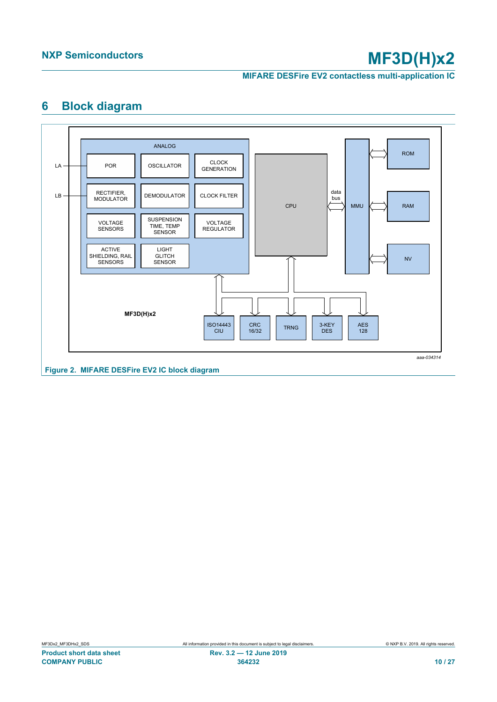**MIFARE DESFire EV2 contactless multi-application IC**

# <span id="page-9-1"></span><span id="page-9-0"></span>**6 Block diagram**

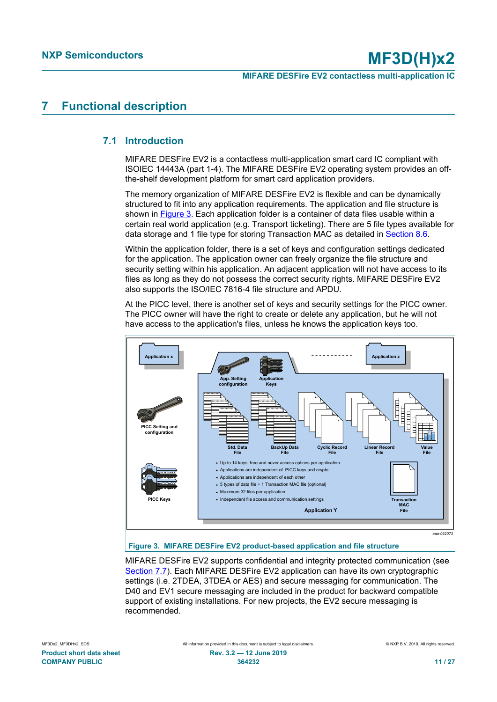# <span id="page-10-1"></span>**7 Functional description**

# **7.1 Introduction**

<span id="page-10-2"></span>MIFARE DESFire EV2 is a contactless multi-application smart card IC compliant with ISOIEC 14443A (part 1-4). The MIFARE DESFire EV2 operating system provides an offthe-shelf development platform for smart card application providers.

The memory organization of MIFARE DESFire EV2 is flexible and can be dynamically structured to fit into any application requirements. The application and file structure is shown in [Figure 3.](#page-10-0) Each application folder is a container of data files usable within a certain real world application (e.g. Transport ticketing). There are 5 file types available for data storage and 1 file type for storing Transaction MAC as detailed in [Section 8.6](#page-12-0).

Within the application folder, there is a set of keys and configuration settings dedicated for the application. The application owner can freely organize the file structure and security setting within his application. An adjacent application will not have access to its files as long as they do not possess the correct security rights. MIFARE DESFire EV2 also supports the ISO/IEC 7816-4 file structure and APDU.

At the PICC level, there is another set of keys and security settings for the PICC owner. The PICC owner will have the right to create or delete any application, but he will not have access to the application's files, unless he knows the application keys too.

<span id="page-10-0"></span>

### **Figure 3. MIFARE DESFire EV2 product-based application and file structure**

MIFARE DESFire EV2 supports confidential and integrity protected communication (see [Section 7.7\)](#page-12-1). Each MIFARE DESFire EV2 application can have its own cryptographic settings (i.e. 2TDEA, 3TDEA or AES) and secure messaging for communication. The D40 and EV1 secure messaging are included in the product for backward compatible support of existing installations. For new projects, the EV2 secure messaging is recommended.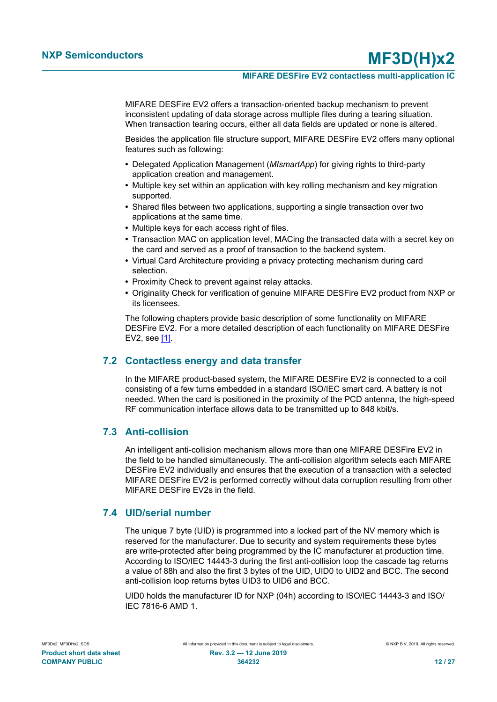#### **MIFARE DESFire EV2 contactless multi-application IC**

MIFARE DESFire EV2 offers a transaction-oriented backup mechanism to prevent inconsistent updating of data storage across multiple files during a tearing situation. When transaction tearing occurs, either all data fields are updated or none is altered.

Besides the application file structure support, MIFARE DESFire EV2 offers many optional features such as following:

- **•** Delegated Application Management (*MIsmartApp*) for giving rights to third-party application creation and management.
- **•** Multiple key set within an application with key rolling mechanism and key migration supported.
- **•** Shared files between two applications, supporting a single transaction over two applications at the same time.
- **•** Multiple keys for each access right of files.
- **•** Transaction MAC on application level, MACing the transacted data with a secret key on the card and served as a proof of transaction to the backend system.
- **•** Virtual Card Architecture providing a privacy protecting mechanism during card selection.
- **•** Proximity Check to prevent against relay attacks.
- **•** Originality Check for verification of genuine MIFARE DESFire EV2 product from NXP or its licensees.

The following chapters provide basic description of some functionality on MIFARE DESFire EV2. For a more detailed description of each functionality on MIFARE DESFire EV2, see [\[1\]](#page-20-1).

## **7.2 Contactless energy and data transfer**

<span id="page-11-0"></span>In the MIFARE product-based system, the MIFARE DESFire EV2 is connected to a coil consisting of a few turns embedded in a standard ISO/IEC smart card. A battery is not needed. When the card is positioned in the proximity of the PCD antenna, the high-speed RF communication interface allows data to be transmitted up to 848 kbit/s.

## <span id="page-11-1"></span>**7.3 Anti-collision**

An intelligent anti-collision mechanism allows more than one MIFARE DESFire EV2 in the field to be handled simultaneously. The anti-collision algorithm selects each MIFARE DESFire EV2 individually and ensures that the execution of a transaction with a selected MIFARE DESFire EV2 is performed correctly without data corruption resulting from other MIFARE DESFire EV2s in the field.

## **7.4 UID/serial number**

<span id="page-11-2"></span>The unique 7 byte (UID) is programmed into a locked part of the NV memory which is reserved for the manufacturer. Due to security and system requirements these bytes are write-protected after being programmed by the IC manufacturer at production time. According to ISO/IEC 14443-3 during the first anti-collision loop the cascade tag returns a value of 88h and also the first 3 bytes of the UID, UID0 to UID2 and BCC. The second anti-collision loop returns bytes UID3 to UID6 and BCC.

UID0 holds the manufacturer ID for NXP (04h) according to ISO/IEC 14443-3 and ISO/ IEC 7816-6 AMD 1.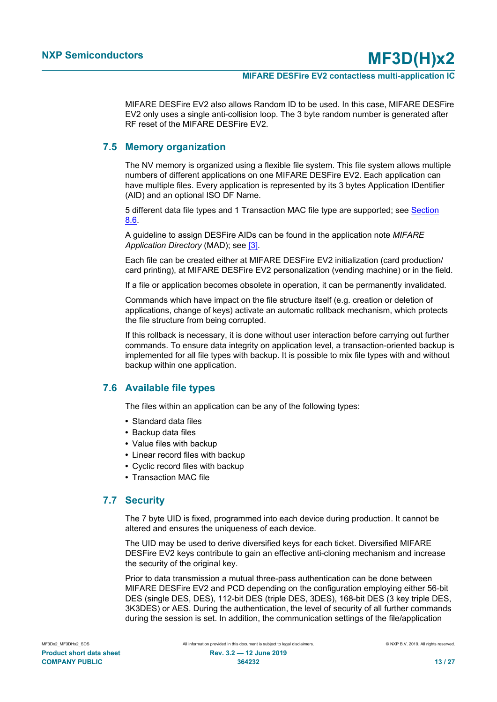MIFARE DESFire EV2 also allows Random ID to be used. In this case, MIFARE DESFire EV2 only uses a single anti-collision loop. The 3 byte random number is generated after RF reset of the MIFARE DESFire EV2.

### **7.5 Memory organization**

<span id="page-12-2"></span>The NV memory is organized using a flexible file system. This file system allows multiple numbers of different applications on one MIFARE DESFire EV2. Each application can have multiple files. Every application is represented by its 3 bytes Application IDentifier (AID) and an optional ISO DF Name.

5 different data file types and 1 Transaction MAC file type are supported; see [Section](#page-12-0) [8.6.](#page-12-0)

A guideline to assign DESFire AIDs can be found in the application note *MIFARE Application Directory* (MAD); see [\[3\].](#page-20-2)

Each file can be created either at MIFARE DESFire EV2 initialization (card production/ card printing), at MIFARE DESFire EV2 personalization (vending machine) or in the field.

If a file or application becomes obsolete in operation, it can be permanently invalidated.

Commands which have impact on the file structure itself (e.g. creation or deletion of applications, change of keys) activate an automatic rollback mechanism, which protects the file structure from being corrupted.

If this rollback is necessary, it is done without user interaction before carrying out further commands. To ensure data integrity on application level, a transaction-oriented backup is implemented for all file types with backup. It is possible to mix file types with and without backup within one application.

## **7.6 Available file types**

<span id="page-12-0"></span>The files within an application can be any of the following types:

- **•** Standard data files
- **•** Backup data files
- **•** Value files with backup
- **•** Linear record files with backup
- **•** Cyclic record files with backup
- <span id="page-12-1"></span>**•** Transaction MAC file

### **7.7 Security**

The 7 byte UID is fixed, programmed into each device during production. It cannot be altered and ensures the uniqueness of each device.

The UID may be used to derive diversified keys for each ticket. Diversified MIFARE DESFire EV2 keys contribute to gain an effective anti-cloning mechanism and increase the security of the original key.

Prior to data transmission a mutual three-pass authentication can be done between MIFARE DESFire EV2 and PCD depending on the configuration employing either 56-bit DES (single DES, DES), 112-bit DES (triple DES, 3DES), 168-bit DES (3 key triple DES, 3K3DES) or AES. During the authentication, the level of security of all further commands during the session is set. In addition, the communication settings of the file/application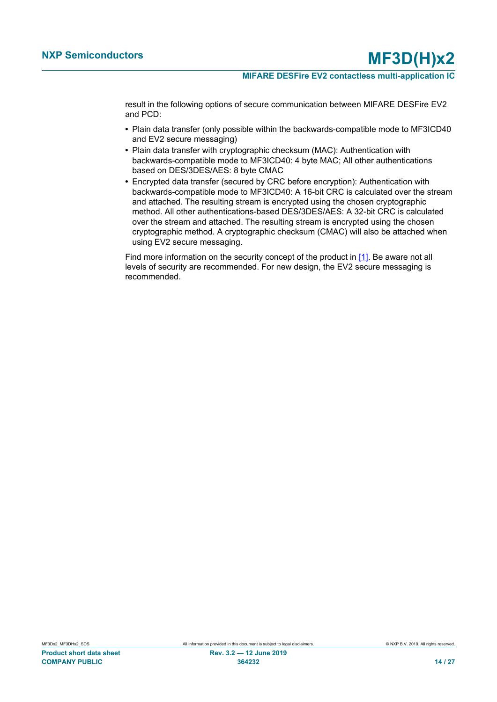result in the following options of secure communication between MIFARE DESFire EV2 and PCD:

- **•** Plain data transfer (only possible within the backwards-compatible mode to MF3ICD40 and EV2 secure messaging)
- **•** Plain data transfer with cryptographic checksum (MAC): Authentication with backwards-compatible mode to MF3ICD40: 4 byte MAC; All other authentications based on DES/3DES/AES: 8 byte CMAC
- **•** Encrypted data transfer (secured by CRC before encryption): Authentication with backwards-compatible mode to MF3ICD40: A 16-bit CRC is calculated over the stream and attached. The resulting stream is encrypted using the chosen cryptographic method. All other authentications-based DES/3DES/AES: A 32-bit CRC is calculated over the stream and attached. The resulting stream is encrypted using the chosen cryptographic method. A cryptographic checksum (CMAC) will also be attached when using EV2 secure messaging.

Find more information on the security concept of the product in [\[1\]](#page-20-1). Be aware not all levels of security are recommended. For new design, the EV2 secure messaging is recommended.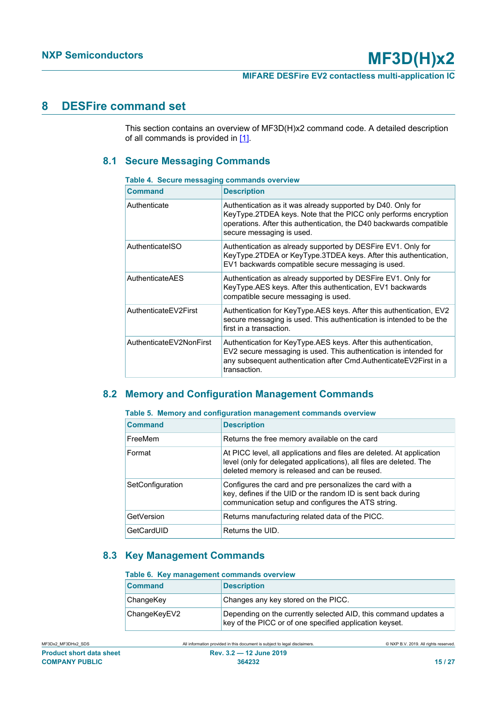# <span id="page-14-3"></span>**8 DESFire command set**

This section contains an overview of MF3D(H)x2 command code. A detailed description of all commands is provided in  $[1]$ .

# <span id="page-14-4"></span>**8.1 Secure Messaging Commands**

#### <span id="page-14-0"></span>**Table 4. Secure messaging commands overview**

| <b>Command</b>          | <b>Description</b>                                                                                                                                                                                                                 |
|-------------------------|------------------------------------------------------------------------------------------------------------------------------------------------------------------------------------------------------------------------------------|
| Authenticate            | Authentication as it was already supported by D40. Only for<br>KeyType.2TDEA keys. Note that the PICC only performs encryption<br>operations. After this authentication, the D40 backwards compatible<br>secure messaging is used. |
| AuthenticatelSO         | Authentication as already supported by DESFire EV1. Only for<br>KeyType.2TDEA or KeyType.3TDEA keys. After this authentication,<br>EV1 backwards compatible secure messaging is used.                                              |
| AuthenticateAES         | Authentication as already supported by DESFire EV1. Only for<br>KeyType.AES keys. After this authentication, EV1 backwards<br>compatible secure messaging is used.                                                                 |
| AuthenticateEV2First    | Authentication for KeyType.AES keys. After this authentication, EV2<br>secure messaging is used. This authentication is intended to be the<br>first in a transaction.                                                              |
| AuthenticateEV2NonFirst | Authentication for KeyType.AES keys. After this authentication,<br>EV2 secure messaging is used. This authentication is intended for<br>any subsequent authentication after Cmd.AuthenticateEV2First in a<br>transaction.          |

# <span id="page-14-5"></span>**8.2 Memory and Configuration Management Commands**

<span id="page-14-1"></span>

|  |  | Table 5. Memory and configuration management commands overview |  |  |  |
|--|--|----------------------------------------------------------------|--|--|--|
|--|--|----------------------------------------------------------------|--|--|--|

| <b>Command</b>   | <b>Description</b>                                                                                                                                                                            |
|------------------|-----------------------------------------------------------------------------------------------------------------------------------------------------------------------------------------------|
| FreeMem          | Returns the free memory available on the card                                                                                                                                                 |
| Format           | At PICC level, all applications and files are deleted. At application<br>level (only for delegated applications), all files are deleted. The<br>deleted memory is released and can be reused. |
| SetConfiguration | Configures the card and pre personalizes the card with a<br>key, defines if the UID or the random ID is sent back during<br>communication setup and configures the ATS string.                |
| GetVersion       | Returns manufacturing related data of the PICC.                                                                                                                                               |
| GetCardUID       | Returns the UID.                                                                                                                                                                              |

## **8.3 Key Management Commands**

#### <span id="page-14-6"></span><span id="page-14-2"></span>**Table 6. Key management commands overview**

| <b>Command</b> | <b>Description</b>                                                                                                         |
|----------------|----------------------------------------------------------------------------------------------------------------------------|
| ChangeKey      | Changes any key stored on the PICC.                                                                                        |
| ChangeKeyEV2   | Depending on the currently selected AID, this command updates a<br>key of the PICC or of one specified application keyset. |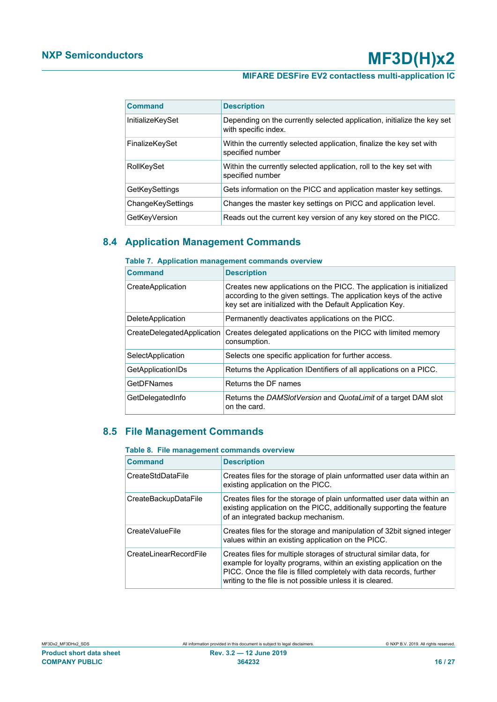# **MIFARE DESFire EV2 contactless multi-application IC**

| <b>Command</b>    | <b>Description</b>                                                                              |
|-------------------|-------------------------------------------------------------------------------------------------|
| InitializeKeySet  | Depending on the currently selected application, initialize the key set<br>with specific index. |
| FinalizeKeySet    | Within the currently selected application, finalize the key set with<br>specified number        |
| RollKeySet        | Within the currently selected application, roll to the key set with<br>specified number         |
| GetKeySettings    | Gets information on the PICC and application master key settings.                               |
| ChangeKeySettings | Changes the master key settings on PICC and application level.                                  |
| GetKeyVersion     | Reads out the current key version of any key stored on the PICC.                                |

## **8.4 Application Management Commands**

## <span id="page-15-2"></span><span id="page-15-0"></span>**Table 7. Application management commands overview**

| <b>Command</b>             | <b>Description</b>                                                                                                                                                                                       |
|----------------------------|----------------------------------------------------------------------------------------------------------------------------------------------------------------------------------------------------------|
| CreateApplication          | Creates new applications on the PICC. The application is initialized<br>according to the given settings. The application keys of the active<br>key set are initialized with the Default Application Key. |
| <b>DeleteApplication</b>   | Permanently deactivates applications on the PICC.                                                                                                                                                        |
| CreateDelegatedApplication | Creates delegated applications on the PICC with limited memory<br>consumption.                                                                                                                           |
| SelectApplication          | Selects one specific application for further access.                                                                                                                                                     |
| GetApplicationIDs          | Returns the Application IDentifiers of all applications on a PICC.                                                                                                                                       |
| GetDFNames                 | Returns the DF names                                                                                                                                                                                     |
| GetDelegatedInfo           | Returns the DAMSlotVersion and QuotaLimit of a target DAM slot<br>on the card.                                                                                                                           |

# **8.5 File Management Commands**

#### <span id="page-15-3"></span><span id="page-15-1"></span>**Table 8. File management commands overview**

| <b>Command</b>         | <b>Description</b>                                                                                                                                                                                                                                                             |
|------------------------|--------------------------------------------------------------------------------------------------------------------------------------------------------------------------------------------------------------------------------------------------------------------------------|
| CreateStdDataFile      | Creates files for the storage of plain unformatted user data within an<br>existing application on the PICC.                                                                                                                                                                    |
| CreateBackupDataFile   | Creates files for the storage of plain unformatted user data within an<br>existing application on the PICC, additionally supporting the feature<br>of an integrated backup mechanism.                                                                                          |
| CreateValueFile        | Creates files for the storage and manipulation of 32bit signed integer<br>values within an existing application on the PICC.                                                                                                                                                   |
| CreateLinearRecordFile | Creates files for multiple storages of structural similar data, for<br>example for loyalty programs, within an existing application on the<br>PICC. Once the file is filled completely with data records, further<br>writing to the file is not possible unless it is cleared. |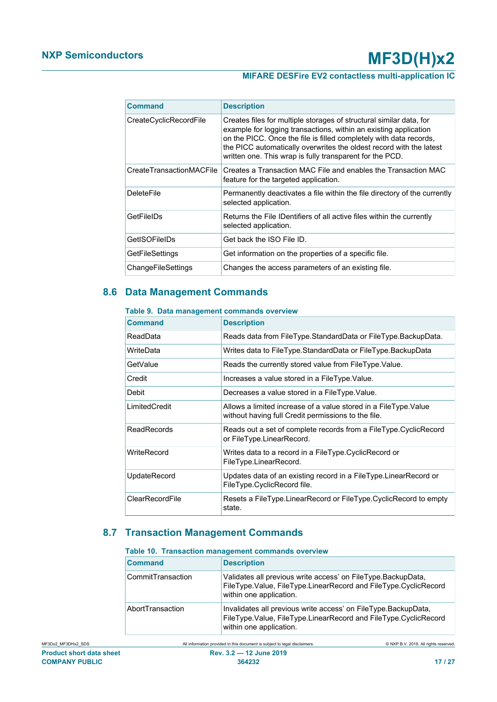# **MIFARE DESFire EV2 contactless multi-application IC**

| Command                  | <b>Description</b>                                                                                                                                                                                                                                                                                                                               |
|--------------------------|--------------------------------------------------------------------------------------------------------------------------------------------------------------------------------------------------------------------------------------------------------------------------------------------------------------------------------------------------|
| CreateCyclicRecordFile   | Creates files for multiple storages of structural similar data, for<br>example for logging transactions, within an existing application<br>on the PICC. Once the file is filled completely with data records,<br>the PICC automatically overwrites the oldest record with the latest<br>written one. This wrap is fully transparent for the PCD. |
| CreateTransactionMACFile | Creates a Transaction MAC File and enables the Transaction MAC<br>feature for the targeted application.                                                                                                                                                                                                                                          |
| <b>DeleteFile</b>        | Permanently deactivates a file within the file directory of the currently<br>selected application.                                                                                                                                                                                                                                               |
| GetFileIDs               | Returns the File IDentifiers of all active files within the currently<br>selected application.                                                                                                                                                                                                                                                   |
| GetISOFileIDs            | Get back the ISO File ID.                                                                                                                                                                                                                                                                                                                        |
| GetFileSettings          | Get information on the properties of a specific file.                                                                                                                                                                                                                                                                                            |
| ChangeFileSettings       | Changes the access parameters of an existing file.                                                                                                                                                                                                                                                                                               |

# **8.6 Data Management Commands**

#### <span id="page-16-2"></span><span id="page-16-0"></span>**Table 9. Data management commands overview**

| Command            | <b>Description</b>                                                                                                      |
|--------------------|-------------------------------------------------------------------------------------------------------------------------|
| ReadData           | Reads data from FileType.StandardData or FileType.BackupData.                                                           |
| WriteData          | Writes data to FileType.StandardData or FileType.BackupData                                                             |
| GetValue           | Reads the currently stored value from FileType. Value.                                                                  |
| Credit             | Increases a value stored in a FileType. Value.                                                                          |
| Debit              | Decreases a value stored in a FileType. Value.                                                                          |
| LimitedCredit      | Allows a limited increase of a value stored in a FileType. Value<br>without having full Credit permissions to the file. |
| <b>ReadRecords</b> | Reads out a set of complete records from a FileType.CyclicRecord<br>or FileType.LinearRecord.                           |
| WriteRecord        | Writes data to a record in a FileType.CyclicRecord or<br>FileType.LinearRecord.                                         |
| UpdateRecord       | Updates data of an existing record in a FileType.LinearRecord or<br>FileType.CyclicRecord file.                         |
| ClearRecordFile    | Resets a FileType.LinearRecord or FileType.CyclicRecord to empty<br>state.                                              |

# **8.7 Transaction Management Commands**

#### <span id="page-16-3"></span><span id="page-16-1"></span>**Table 10. Transaction management commands overview**

| <b>Command</b>    | <b>Description</b>                                                                                                                                           |
|-------------------|--------------------------------------------------------------------------------------------------------------------------------------------------------------|
| CommitTransaction | Validates all previous write access' on FileType. BackupData,<br>FileType.Value, FileType.LinearRecord and FileType.CyclicRecord<br>within one application.  |
| AbortTransaction  | Invalidates all previous write access' on FileType.BackupData,<br>FileType.Value, FileType.LinearRecord and FileType.CyclicRecord<br>within one application. |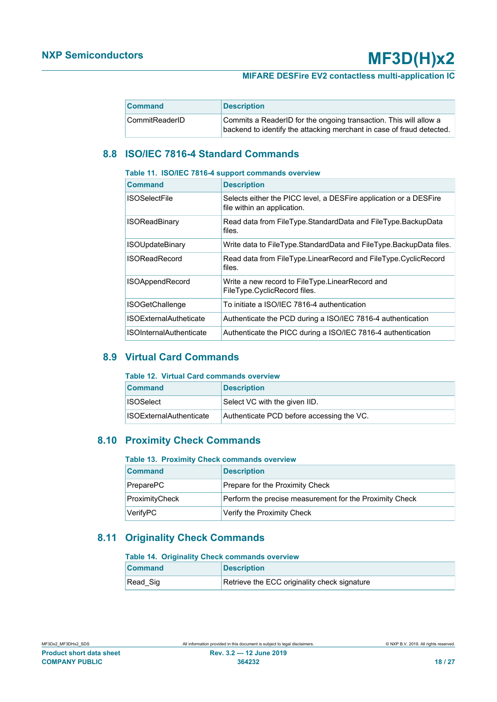### **MIFARE DESFire EV2 contactless multi-application IC**

| <b>Command</b> | <b>Description</b>                                                                                                                         |
|----------------|--------------------------------------------------------------------------------------------------------------------------------------------|
| CommitReaderID | Commits a ReaderID for the ongoing transaction. This will allow a<br>backend to identify the attacking merchant in case of fraud detected. |

# <span id="page-17-4"></span>**8.8 ISO/IEC 7816-4 Standard Commands**

#### <span id="page-17-0"></span>**Table 11. ISO/IEC 7816-4 support commands overview**

| <b>Command</b>                 | <b>Description</b>                                                                               |
|--------------------------------|--------------------------------------------------------------------------------------------------|
| <b>ISOSelectFile</b>           | Selects either the PICC level, a DESFire application or a DESFire<br>file within an application. |
| <b>ISOReadBinary</b>           | Read data from FileType.StandardData and FileType.BackupData<br>files.                           |
| <b>ISOUpdateBinary</b>         | Write data to FileType.StandardData and FileType.BackupData files.                               |
| <b>ISOReadRecord</b>           | Read data from FileType.LinearRecord and FileType.CyclicRecord<br>files.                         |
| <b>ISOAppendRecord</b>         | Write a new record to FileType.LinearRecord and<br>FileType.CyclicRecord files.                  |
| <b>ISOGetChallenge</b>         | To initiate a ISO/IEC 7816-4 authentication                                                      |
| <b>ISOExternalAutheticate</b>  | Authenticate the PCD during a ISO/IEC 7816-4 authentication                                      |
| <b>ISOInternalAuthenticate</b> | Authenticate the PICC during a ISO/IEC 7816-4 authentication                                     |

## **8.9 Virtual Card Commands**

#### <span id="page-17-5"></span><span id="page-17-1"></span>**Table 12. Virtual Card commands overview**

| <b>Command</b>                 | <b>Description</b>                        |
|--------------------------------|-------------------------------------------|
| <b>ISOSelect</b>               | Select VC with the given IID.             |
| <b>ISOExternalAuthenticate</b> | Authenticate PCD before accessing the VC. |

## **8.10 Proximity Check Commands**

#### <span id="page-17-6"></span><span id="page-17-2"></span>**Table 13. Proximity Check commands overview**

| <b>Command</b> | <b>Description</b>                                      |
|----------------|---------------------------------------------------------|
| PreparePC      | Prepare for the Proximity Check                         |
| ProximityCheck | Perform the precise measurement for the Proximity Check |
| VerifyPC       | Verify the Proximity Check                              |

# **8.11 Originality Check Commands**

#### <span id="page-17-7"></span><span id="page-17-3"></span>**Table 14. Originality Check commands overview**

| <b>Command</b> | <b>Description</b>                           |
|----------------|----------------------------------------------|
| Read Sig       | Retrieve the ECC originality check signature |
|                |                                              |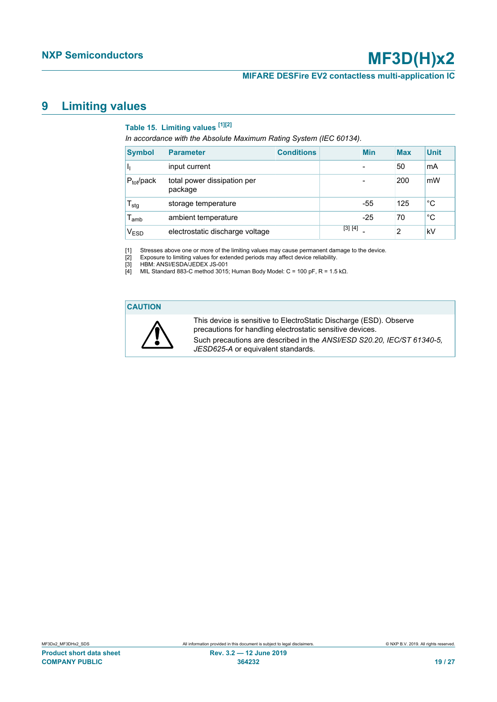#### **MIFARE DESFire EV2 contactless multi-application IC**

# <span id="page-18-5"></span>**9 Limiting values**

# <span id="page-18-4"></span><span id="page-18-3"></span><span id="page-18-2"></span><span id="page-18-1"></span><span id="page-18-0"></span>**Table 15. Limiting values [\[1\]](#page-18-0)[\[2\]](#page-18-1)**

*In accordance with the Absolute Maximum Rating System (IEC 60134).*

| <b>Symbol</b>                | <b>Parameter</b>                       | <b>Conditions</b> |         | <b>Min</b> | <b>Max</b> | <b>Unit</b> |
|------------------------------|----------------------------------------|-------------------|---------|------------|------------|-------------|
|                              | input current                          |                   |         |            | 50         | mA          |
| $P_{\text{tot}}$ /pack       | total power dissipation per<br>package |                   |         |            | 200        | mW          |
| ${\mathsf T}_{\textsf{stg}}$ | storage temperature                    |                   |         | $-55$      | 125        | °C          |
| $\mathsf{T}_{\mathsf{amb}}$  | ambient temperature                    |                   |         | $-25$      | 70         | °С          |
| V <sub>ESD</sub>             | electrostatic discharge voltage        |                   | [3] [4] |            | 2          | kV          |

[1] Stresses above one or more of the limiting values may cause permanent damage to the device.<br>[2] Exposure to limiting values for extended periods may affect device reliability.<br>[3] HBM: ANSI/ESDA/JEDEX JS-001

Exposure to limiting values for extended periods may affect device reliability.

HBM: ANSI/ESDA/JEDEX JS-001

 $[4]$  MIL Standard 883-C method 3015; Human Body Model: C = 100 pF, R = 1.5 kΩ.

#### **CAUTION**



This device is sensitive to ElectroStatic Discharge (ESD). Observe precautions for handling electrostatic sensitive devices. Such precautions are described in the *ANSI/ESD S20.20, IEC/ST 61340-5, JESD625-A* or equivalent standards.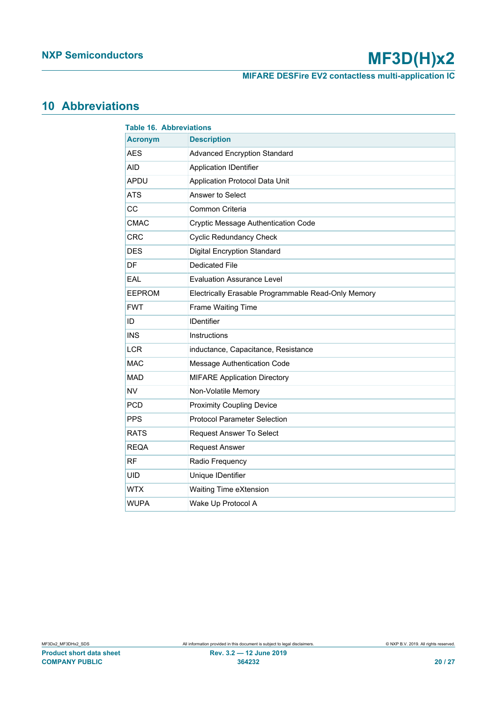**MIFARE DESFire EV2 contactless multi-application IC**

# <span id="page-19-1"></span>**10 Abbreviations**

<span id="page-19-0"></span>

| <b>Table 16. Abbreviations</b> |                                                     |  |
|--------------------------------|-----------------------------------------------------|--|
| <b>Acronym</b>                 | <b>Description</b>                                  |  |
| <b>AES</b>                     | <b>Advanced Encryption Standard</b>                 |  |
| AID                            | <b>Application IDentifier</b>                       |  |
| <b>APDU</b>                    | Application Protocol Data Unit                      |  |
| <b>ATS</b>                     | Answer to Select                                    |  |
| CC                             | Common Criteria                                     |  |
| <b>CMAC</b>                    | Cryptic Message Authentication Code                 |  |
| <b>CRC</b>                     | <b>Cyclic Redundancy Check</b>                      |  |
| <b>DES</b>                     | <b>Digital Encryption Standard</b>                  |  |
| DF                             | <b>Dedicated File</b>                               |  |
| EAL                            | <b>Evaluation Assurance Level</b>                   |  |
| <b>EEPROM</b>                  | Electrically Erasable Programmable Read-Only Memory |  |
| <b>FWT</b>                     | Frame Waiting Time                                  |  |
| ID                             | <b>IDentifier</b>                                   |  |
| <b>INS</b>                     | Instructions                                        |  |
| <b>LCR</b>                     | inductance, Capacitance, Resistance                 |  |
| <b>MAC</b>                     | Message Authentication Code                         |  |
| <b>MAD</b>                     | <b>MIFARE Application Directory</b>                 |  |
| <b>NV</b>                      | Non-Volatile Memory                                 |  |
| <b>PCD</b>                     | <b>Proximity Coupling Device</b>                    |  |
| <b>PPS</b>                     | <b>Protocol Parameter Selection</b>                 |  |
| <b>RATS</b>                    | Request Answer To Select                            |  |
| <b>REQA</b>                    | <b>Request Answer</b>                               |  |
| <b>RF</b>                      | Radio Frequency                                     |  |
| <b>UID</b>                     | Unique IDentifier                                   |  |
| <b>WTX</b>                     | Waiting Time eXtension                              |  |
| <b>WUPA</b>                    | Wake Up Protocol A                                  |  |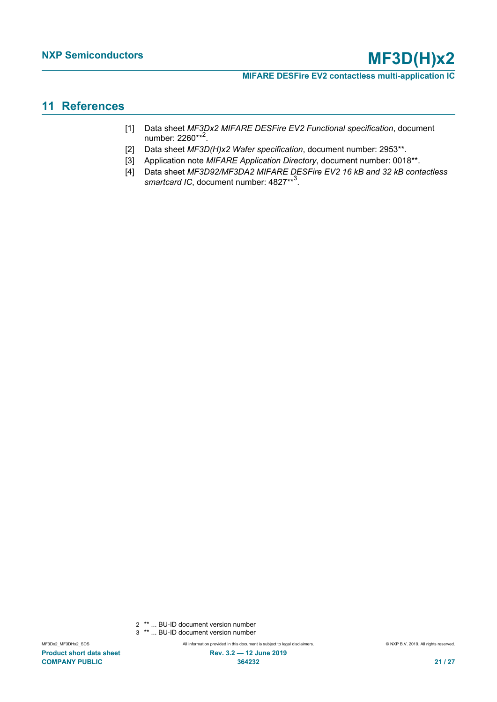# <span id="page-20-3"></span>**11 References**

- <span id="page-20-1"></span>[1] Data sheet *MF3Dx2 MIFARE DESFire EV2 Functional specification*, document number: 2260\*\*<sup>2</sup>.
- <span id="page-20-0"></span>[2] Data sheet *MF3D(H)x2 Wafer specification*, document number: 2953\*\*.
- <span id="page-20-2"></span>[3] Application note *MIFARE Application Directory*, document number: 0018\*\*.
- [4] Data sheet *MF3D92/MF3DA2 MIFARE DESFire EV2 16 kB and 32 kB contactless* smartcard IC, document number: 4827\*\*<sup>3</sup>.

<sup>2</sup> \*\* ... BU-ID document version number

<sup>3</sup> \*\* ... BU-ID document version number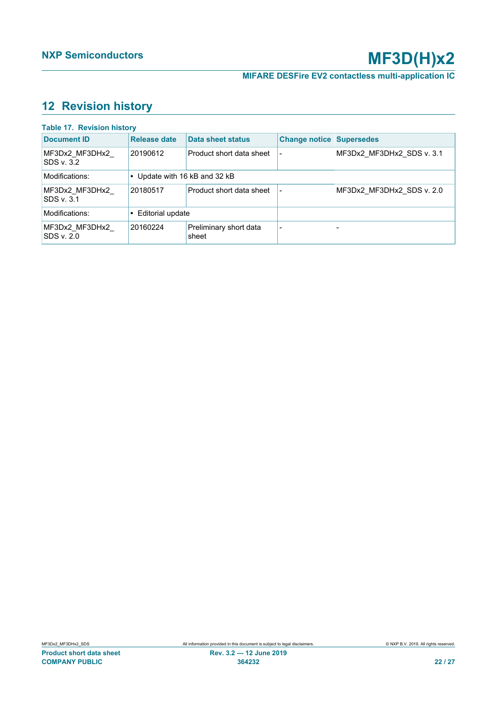# <span id="page-21-1"></span>**12 Revision history**

<span id="page-21-0"></span>

| <b>Table 17. Revision history</b>  |                               |                                 |                                 |                           |
|------------------------------------|-------------------------------|---------------------------------|---------------------------------|---------------------------|
| <b>Document ID</b>                 | <b>Release date</b>           | <b>Data sheet status</b>        | <b>Change notice Supersedes</b> |                           |
| MF3Dx2 MF3DHx2<br><b>SDS v.3.2</b> | 20190612                      | Product short data sheet        |                                 | MF3Dx2 MF3DHx2 SDS v. 3.1 |
| Modifications:                     | • Update with 16 kB and 32 kB |                                 |                                 |                           |
| MF3Dx2 MF3DHx2<br><b>SDS v.3.1</b> | 20180517                      | Product short data sheet        |                                 | MF3Dx2 MF3DHx2 SDS v. 2.0 |
| Modifications:                     | • Editorial update            |                                 |                                 |                           |
| MF3Dx2 MF3DHx2<br>SDS v. 2.0       | 20160224                      | Preliminary short data<br>sheet |                                 |                           |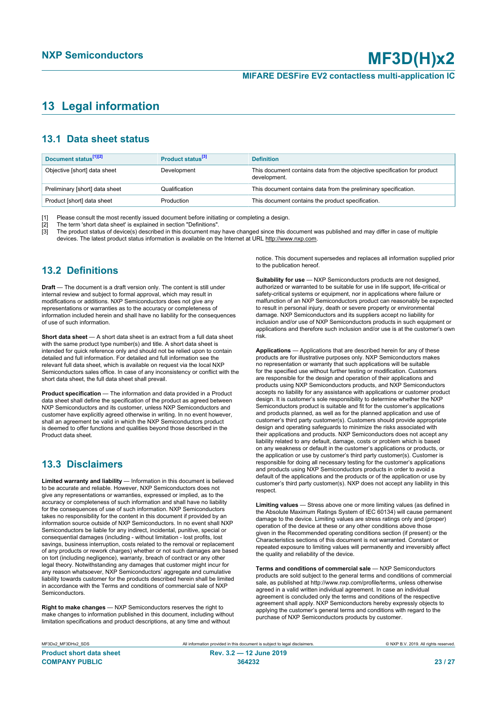# <span id="page-22-0"></span>**13 Legal information**

# **13.1 Data sheet status**

| Document status <sup>[1][2]</sup> | Product status <sup>[3]</sup> | <b>Definition</b>                                                                        |
|-----------------------------------|-------------------------------|------------------------------------------------------------------------------------------|
| Objective [short] data sheet      | Development                   | This document contains data from the objective specification for product<br>development. |
| Preliminary [short] data sheet    | Qualification                 | This document contains data from the preliminary specification.                          |
| Product [short] data sheet        | Production                    | This document contains the product specification.                                        |

[1] Please consult the most recently issued document before initiating or completing a design.<br>[2] The term 'short data sheet' is explained in section "Definitions".

t :<br>[2] The term 'short data sheet' is explained in section "Definitions".<br>[3] The product status of device(s) described in this document may

The product status of device(s) described in this document may have changed since this document was published and may differ in case of multiple devices. The latest product status information is available on the Internet at URL http://www.nxp.com.

# **13.2 Definitions**

**Draft** — The document is a draft version only. The content is still under internal review and subject to formal approval, which may result in modifications or additions. NXP Semiconductors does not give any representations or warranties as to the accuracy or completeness of information included herein and shall have no liability for the consequences of use of such information.

**Short data sheet** — A short data sheet is an extract from a full data sheet with the same product type number(s) and title. A short data sheet is intended for quick reference only and should not be relied upon to contain detailed and full information. For detailed and full information see the relevant full data sheet, which is available on request via the local NXP Semiconductors sales office. In case of any inconsistency or conflict with the short data sheet, the full data sheet shall prevail.

**Product specification** — The information and data provided in a Product data sheet shall define the specification of the product as agreed between NXP Semiconductors and its customer, unless NXP Semiconductors and customer have explicitly agreed otherwise in writing. In no event however, shall an agreement be valid in which the NXP Semiconductors product is deemed to offer functions and qualities beyond those described in the Product data sheet.

# **13.3 Disclaimers**

**Limited warranty and liability** — Information in this document is believed to be accurate and reliable. However, NXP Semiconductors does not give any representations or warranties, expressed or implied, as to the accuracy or completeness of such information and shall have no liability for the consequences of use of such information. NXP Semiconductors takes no responsibility for the content in this document if provided by an information source outside of NXP Semiconductors. In no event shall NXP Semiconductors be liable for any indirect, incidental, punitive, special or consequential damages (including - without limitation - lost profits, lost savings, business interruption, costs related to the removal or replacement of any products or rework charges) whether or not such damages are based on tort (including negligence), warranty, breach of contract or any other legal theory. Notwithstanding any damages that customer might incur for any reason whatsoever, NXP Semiconductors' aggregate and cumulative liability towards customer for the products described herein shall be limited in accordance with the Terms and conditions of commercial sale of NXP **Semiconductors** 

**Right to make changes** — NXP Semiconductors reserves the right to make changes to information published in this document, including without limitation specifications and product descriptions, at any time and without

notice. This document supersedes and replaces all information supplied prior to the publication hereof.

**Suitability for use** — NXP Semiconductors products are not designed, authorized or warranted to be suitable for use in life support, life-critical or safety-critical systems or equipment, nor in applications where failure or malfunction of an NXP Semiconductors product can reasonably be expected to result in personal injury, death or severe property or environmental damage. NXP Semiconductors and its suppliers accept no liability for inclusion and/or use of NXP Semiconductors products in such equipment or applications and therefore such inclusion and/or use is at the customer's own risk.

**Applications** — Applications that are described herein for any of these products are for illustrative purposes only. NXP Semiconductors makes no representation or warranty that such applications will be suitable for the specified use without further testing or modification. Customers are responsible for the design and operation of their applications and products using NXP Semiconductors products, and NXP Semiconductors accepts no liability for any assistance with applications or customer product design. It is customer's sole responsibility to determine whether the NXP Semiconductors product is suitable and fit for the customer's applications and products planned, as well as for the planned application and use of customer's third party customer(s). Customers should provide appropriate design and operating safeguards to minimize the risks associated with their applications and products. NXP Semiconductors does not accept any liability related to any default, damage, costs or problem which is based on any weakness or default in the customer's applications or products, or the application or use by customer's third party customer(s). Customer is responsible for doing all necessary testing for the customer's applications and products using NXP Semiconductors products in order to avoid a default of the applications and the products or of the application or use by customer's third party customer(s). NXP does not accept any liability in this respect.

**Limiting values** — Stress above one or more limiting values (as defined in the Absolute Maximum Ratings System of IEC 60134) will cause permanent damage to the device. Limiting values are stress ratings only and (proper) operation of the device at these or any other conditions above those given in the Recommended operating conditions section (if present) or the Characteristics sections of this document is not warranted. Constant or repeated exposure to limiting values will permanently and irreversibly affect the quality and reliability of the device.

**Terms and conditions of commercial sale** — NXP Semiconductors products are sold subject to the general terms and conditions of commercial sale, as published at http://www.nxp.com/profile/terms, unless otherwise agreed in a valid written individual agreement. In case an individual agreement is concluded only the terms and conditions of the respective agreement shall apply. NXP Semiconductors hereby expressly objects to applying the customer's general terms and conditions with regard to the purchase of NXP Semiconductors products by customer.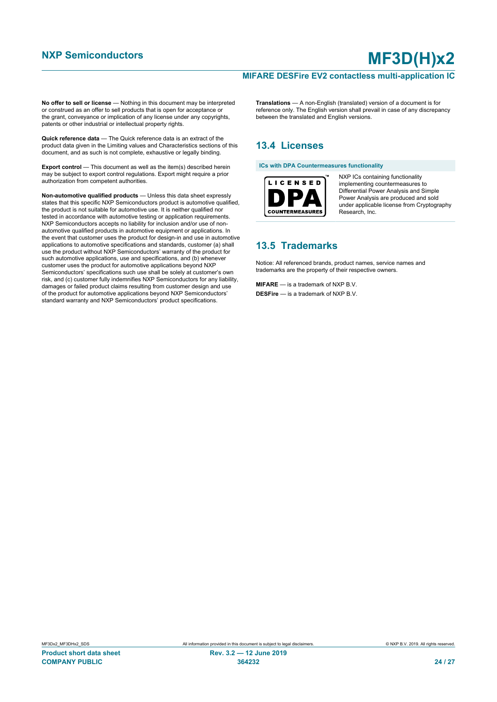#### **MIFARE DESFire EV2 contactless multi-application IC**

**No offer to sell or license** — Nothing in this document may be interpreted or construed as an offer to sell products that is open for acceptance or the grant, conveyance or implication of any license under any copyrights, patents or other industrial or intellectual property rights.

**Quick reference data** — The Quick reference data is an extract of the product data given in the Limiting values and Characteristics sections of this document, and as such is not complete, exhaustive or legally binding.

**Export control** — This document as well as the item(s) described herein may be subject to export control regulations. Export might require a prior authorization from competent authorities.

**Non-automotive qualified products** — Unless this data sheet expressly states that this specific NXP Semiconductors product is automotive qualified, the product is not suitable for automotive use. It is neither qualified nor tested in accordance with automotive testing or application requirements. NXP Semiconductors accepts no liability for inclusion and/or use of nonautomotive qualified products in automotive equipment or applications. In the event that customer uses the product for design-in and use in automotive applications to automotive specifications and standards, customer (a) shall use the product without NXP Semiconductors' warranty of the product for such automotive applications, use and specifications, and (b) whenever customer uses the product for automotive applications beyond NXP Semiconductors' specifications such use shall be solely at customer's own risk, and (c) customer fully indemnifies NXP Semiconductors for any liability, damages or failed product claims resulting from customer design and use of the product for automotive applications beyond NXP Semiconductors' standard warranty and NXP Semiconductors' product specifications.

**Translations** — A non-English (translated) version of a document is for reference only. The English version shall prevail in case of any discrepancy between the translated and English versions.

# **13.4 Licenses**

**ICs with DPA Countermeasures functionality**



NXP ICs containing functionality implementing countermeasures to Differential Power Analysis and Simple Power Analysis are produced and sold under applicable license from Cryptography Research, Inc.

## **13.5 Trademarks**

Notice: All referenced brands, product names, service names and trademarks are the property of their respective owners.

**MIFARE** — is a trademark of NXP B.V. **DESFire** — is a trademark of NXP B.V.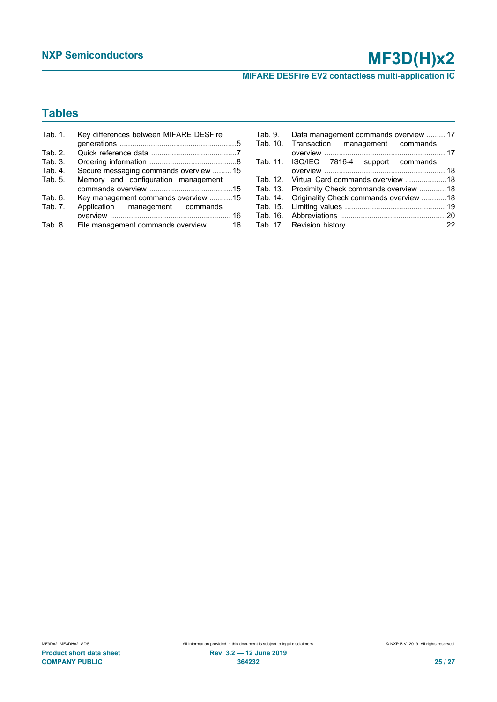**MIFARE DESFire EV2 contactless multi-application IC**

# **Tables**

| Tab. 1. | Key differences between MIFARE DESFire |
|---------|----------------------------------------|
|         |                                        |
| Tab. 2. |                                        |
| Tab. 3. |                                        |
| Tab. 4. | Secure messaging commands overview  15 |
| Tab. 5. | Memory and configuration management    |
|         |                                        |
| Tab. 6. | Key management commands overview 15    |
| Tab. 7. | Application management commands        |
|         |                                        |
| Tab. 8. | File management commands overview  16  |

| Tab. 9. Data management commands overview  17   |  |
|-------------------------------------------------|--|
| Tab. 10. Transaction management commands        |  |
|                                                 |  |
| Tab. 11. ISO/IEC 7816-4 support commands        |  |
|                                                 |  |
|                                                 |  |
| Tab. 13. Proximity Check commands overview 18   |  |
| Tab. 14. Originality Check commands overview 18 |  |
|                                                 |  |
|                                                 |  |
|                                                 |  |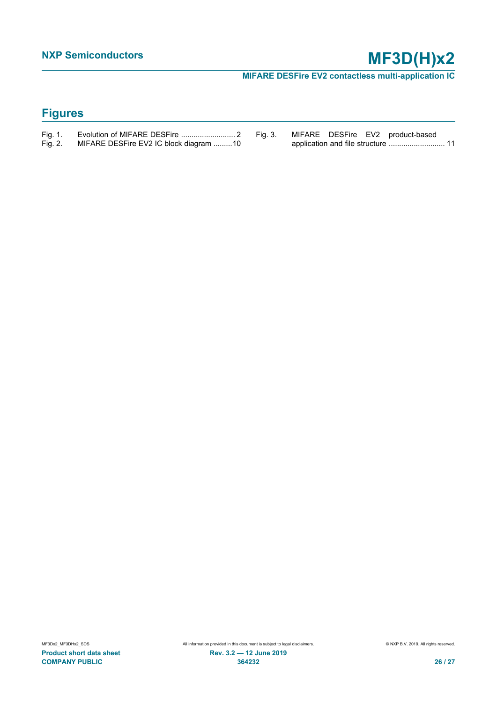**MIFARE DESFire EV2 contactless multi-application IC**

# **Figures**

| Fig. 1. |                                        |  |
|---------|----------------------------------------|--|
| Fig. 2. | MIFARE DESFire EV2 IC block diagram 10 |  |

[Fig. 3.](#page-10-0) [MIFARE DESFire EV2 product-based](#page-10-0) [application and file structure ...........................](#page-10-0).... 11